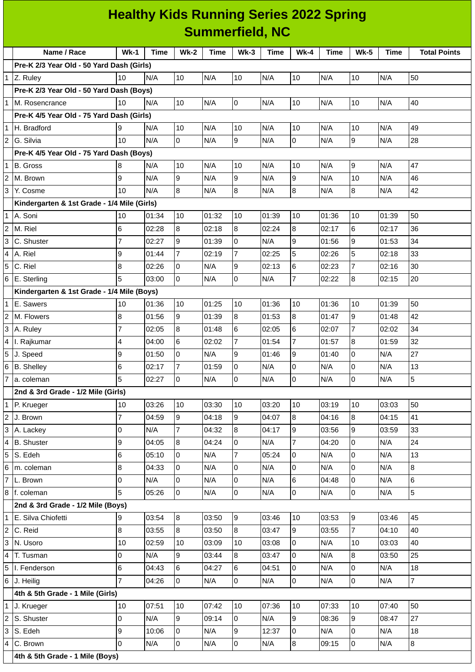|                          | <b>Healthy Kids Running Series 2022 Spring</b><br><b>Summerfield, NC</b> |                 |       |                |       |                |             |                  |       |                  |             |                     |
|--------------------------|--------------------------------------------------------------------------|-----------------|-------|----------------|-------|----------------|-------------|------------------|-------|------------------|-------------|---------------------|
|                          |                                                                          |                 |       |                |       |                |             |                  |       |                  |             |                     |
|                          | Name / Race                                                              | $Wk-1$          | Time  | <b>Wk-2</b>    | Time  | $Wk-3$         | <b>Time</b> | $Wk-4$           | Time  | <b>Wk-5</b>      | <b>Time</b> | <b>Total Points</b> |
|                          | Pre-K 2/3 Year Old - 50 Yard Dash (Girls)                                |                 |       |                |       |                |             |                  |       |                  |             |                     |
|                          | $1$ Z. Ruley                                                             | 10              | N/A   | 10             | N/A   | 10             | N/A         | 10               | N/A   | 10               | N/A         | 50                  |
|                          | Pre-K 2/3 Year Old - 50 Yard Dash (Boys)                                 |                 |       |                |       |                |             |                  |       |                  |             |                     |
| $\mathbf{1}$             | M. Rosencrance                                                           | 10              | N/A   | 10             | N/A   | 0              | N/A         | 10               | N/A   | 10               | N/A         | 40                  |
|                          | Pre-K 4/5 Year Old - 75 Yard Dash (Girls)                                |                 |       |                |       |                |             |                  |       |                  |             |                     |
| $\mathbf{1}$             | H. Bradford                                                              | 9               | N/A   | $10\,$         | N/A   | 10             | N/A         | 10               | N/A   | 10               | N/A         | 49                  |
| $\overline{c}$           | G. Silvia                                                                | 10              | N/A   | $\mathbf 0$    | N/A   | 9              | N/A         | Ιo               | N/A   | 9                | N/A         | 28                  |
|                          | Pre-K 4/5 Year Old - 75 Yard Dash (Boys)                                 |                 |       |                |       |                |             |                  |       |                  |             |                     |
| $\mathbf{1}$             | B. Gross                                                                 | 8               | N/A   | 10             | N/A   | 10             | N/A         | 10               | N/A   | 9                | N/A         | 47                  |
| $\overline{c}$           | M. Brown                                                                 | 9               | N/A   | 9              | N/A   | 9              | N/A         | $\overline{9}$   | N/A   | 10               | N/A         | 46                  |
|                          | 3 Y. Cosme                                                               | 10              | N/A   | 8              | N/A   | 8              | N/A         | 8                | N/A   | 8                | N/A         | 42                  |
|                          | Kindergarten & 1st Grade - 1/4 Mile (Girls)                              |                 |       |                |       |                |             |                  |       |                  |             |                     |
| $\mathbf{1}$             | A. Soni                                                                  | 10              | 01:34 | 10             | 01:32 | 10             | 01:39       | 10               | 01:36 | 10               | 01:39       | 50                  |
| $\overline{c}$           | M. Riel                                                                  | 6               | 02:28 | 8              | 02:18 | 8              | 02:24       | $\boldsymbol{8}$ | 02:17 | 6                | 02:17       | 36                  |
| 3                        | C. Shuster                                                               | $\overline{7}$  | 02:27 | 9              | 01:39 | $\Omega$       | N/A         | 9                | 01:56 | $\boldsymbol{9}$ | 01:53       | 34                  |
| 4                        | A. Riel                                                                  | 9               | 01:44 | $\overline{7}$ | 02:19 | $\overline{7}$ | 02:25       | 5                | 02:26 | 5                | 02:18       | 33                  |
| 5                        | C. Riel                                                                  | 8               | 02:26 | 0              | N/A   | 9              | 02:13       | $\,$ 6           | 02:23 | $\overline{7}$   | 02:16       | 30                  |
|                          | 6 E. Sterling                                                            | 5               | 03:00 | 0              | N/A   | $\Omega$       | N/A         | $\overline{7}$   | 02:22 | 8                | 02:15       | 20                  |
|                          | Kindergarten & 1st Grade - 1/4 Mile (Boys)                               |                 |       |                |       |                |             |                  |       |                  |             |                     |
| $\mathbf{1}$             | E. Sawers                                                                | 10              | 01:36 | 10             | 01:25 | 10             | 01:36       | 10               | 01:36 | 10               | 01:39       | 50                  |
| $\overline{c}$           | M. Flowers                                                               | 8               | 01:56 | 9              | 01:39 | 8              | 01:53       | 8                | 01:47 | 9                | 01:48       | 42                  |
| 3                        | A. Ruley                                                                 | 7               | 02:05 | 8              | 01:48 | 6              | 02:05       | 6                | 02:07 | $\overline{7}$   | 02:02       | 34                  |
| $\overline{\mathcal{A}}$ | I. Rajkumar                                                              | 4               | 04:00 | 6              | 02:02 | $\overline{7}$ | 01:54       | $\overline{7}$   | 01:57 | 8                | 01:59       | 32                  |
| 5                        | J. Speed                                                                 | 9               | 01:50 | 0              | N/A   | 9              | 01:46       | 9                | 01:40 | 0                | N/A         | 27                  |
|                          | 6 B. Shelley                                                             | $6\phantom{.}6$ | 02:17 | $\overline{7}$ | 01:59 | $\overline{0}$ | N/A         | lo               | N/A   | $\boldsymbol{0}$ | N/A         | 13                  |
|                          | 7 a. coleman                                                             | 5               | 02:27 | 0              | N/A   | 0              | N/A         | lo               | N/A   | 0                | N/A         | 5                   |
|                          | 2nd & 3rd Grade - 1/2 Mile (Girls)                                       |                 |       |                |       |                |             |                  |       |                  |             |                     |
| $\mathbf 1$              | P. Krueger                                                               | 10              | 03:26 | 10             | 03:30 | 10             | 03:20       | 10               | 03:19 | 10               | 03:03       | 50                  |
|                          | 2 J. Brown                                                               | 7               | 04:59 | 9              | 04:18 | 9              | 04:07       | 8                | 04:16 | 8                | 04:15       | 41                  |
| 3                        | A. Lackey                                                                | 0               | N/A   | $\overline{7}$ | 04:32 | 8              | 04:17       | 9                | 03:56 | 9                | 03:59       | 33                  |
| $\overline{\mathcal{A}}$ | <b>B.</b> Shuster                                                        | 9               | 04:05 | 8              | 04:24 | 0              | N/A         | $\overline{7}$   | 04:20 | 0                | N/A         | 24                  |
| 5                        | S. Edeh                                                                  | 6               | 05:10 | 0              | N/A   | $\overline{7}$ | 05:24       | $\overline{0}$   | N/A   | 0                | N/A         | 13                  |
| 6                        | m. coleman                                                               | 8               | 04:33 | 0              | N/A   | 0              | N/A         | $\overline{0}$   | N/A   | $\overline{0}$   | N/A         | 8                   |
| $\overline{7}$           | L. Brown                                                                 | 0               | N/A   | 0              | N/A   | 0              | N/A         | $\,6$            | 04:48 | 0                | N/A         | 6                   |
|                          | 8 f. coleman                                                             | 5               | 05:26 | $\overline{0}$ | N/A   | 0              | N/A         | $\mathsf 0$      | N/A   | 0                | N/A         | 5                   |
|                          | 2nd & 3rd Grade - 1/2 Mile (Boys)                                        |                 |       |                |       |                |             |                  |       |                  |             |                     |
| $\mathbf{1}$             | E. Silva Chiofetti                                                       | 9               | 03:54 | 8              | 03:50 | 9              | 03:46       | 10               | 03:53 | 9                | 03:46       | 45                  |
| $\overline{2}$           | C. Reid                                                                  | 8               | 03:55 | 8              | 03:50 | 8              | 03:47       | 9                | 03:55 | $\overline{7}$   | 04:10       | 40                  |
| $\mathsf{3}$             | N. Usoro                                                                 | 10              | 02:59 | 10             | 03:09 | 10             | 03:08       | $\mathsf 0$      | N/A   | 10               | 03:03       | 40                  |
| 4                        | T. Tusman                                                                | 0               | N/A   | 9              | 03:44 | 8              | 03:47       | l0               | N/A   | 8                | 03:50       | 25                  |
| 5                        | I. Fenderson                                                             | 6               | 04:43 | 6              | 04:27 | 6              | 04:51       | 0                | N/A   | 0                | N/A         | $18\,$              |
|                          | 6 J. Heilig                                                              | $\overline{7}$  | 04:26 | 0              | N/A   | 0              | N/A         | $\mathsf 0$      | N/A   | 0                | N/A         | $\overline{7}$      |
|                          | 4th & 5th Grade - 1 Mile (Girls)                                         |                 |       |                |       |                |             |                  |       |                  |             |                     |
| $\mathbf{1}$             | J. Krueger                                                               | 10              | 07:51 | 10             | 07:42 | 10             | 07:36       | 10               | 07:33 | 10               | 07:40       | 50                  |
| $\overline{c}$           | S. Shuster                                                               | 0               | N/A   | 9              | 09:14 | 0              | N/A         | 9                | 08:36 | 9                | 08:47       | 27                  |
| 3                        | S. Edeh                                                                  | 9               | 10:06 | 0              | N/A   | 9              | 12:37       | 0                | N/A   | O                | N/A         | 18                  |
| 4                        | C. Brown                                                                 | $\Omega$        | N/A   | 0              | N/A   | 0              | N/A         | $\bf{8}$         | 09:15 | 0                | N/A         | $\bf{8}$            |
|                          | 4th & 5th Grade - 1 Mile (Boys)                                          |                 |       |                |       |                |             |                  |       |                  |             |                     |